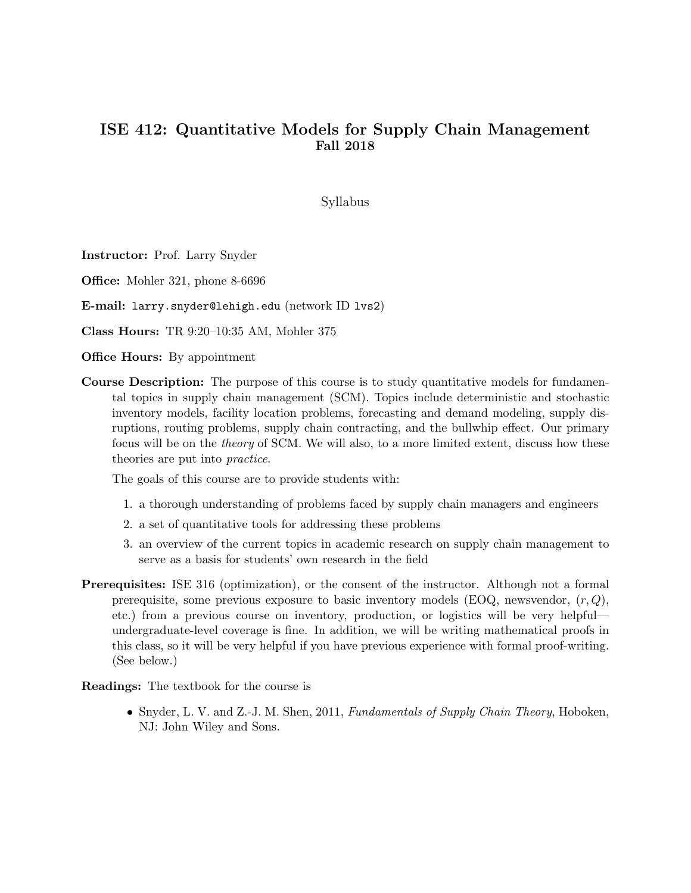## ISE 412: Quantitative Models for Supply Chain Management Fall 2018

Syllabus

Instructor: Prof. Larry Snyder

Office: Mohler 321, phone 8-6696

E-mail: larry.snyder@lehigh.edu (network ID lvs2)

Class Hours: TR 9:20–10:35 AM, Mohler 375

**Office Hours:** By appointment

Course Description: The purpose of this course is to study quantitative models for fundamental topics in supply chain management (SCM). Topics include deterministic and stochastic inventory models, facility location problems, forecasting and demand modeling, supply disruptions, routing problems, supply chain contracting, and the bullwhip effect. Our primary focus will be on the theory of SCM. We will also, to a more limited extent, discuss how these theories are put into practice.

The goals of this course are to provide students with:

- 1. a thorough understanding of problems faced by supply chain managers and engineers
- 2. a set of quantitative tools for addressing these problems
- 3. an overview of the current topics in academic research on supply chain management to serve as a basis for students' own research in the field
- Prerequisites: ISE 316 (optimization), or the consent of the instructor. Although not a formal prerequisite, some previous exposure to basic inventory models (EOQ, newsvendor,  $(r, Q)$ , etc.) from a previous course on inventory, production, or logistics will be very helpful undergraduate-level coverage is fine. In addition, we will be writing mathematical proofs in this class, so it will be very helpful if you have previous experience with formal proof-writing. (See below.)

Readings: The textbook for the course is

• Snyder, L. V. and Z.-J. M. Shen, 2011, Fundamentals of Supply Chain Theory, Hoboken, NJ: John Wiley and Sons.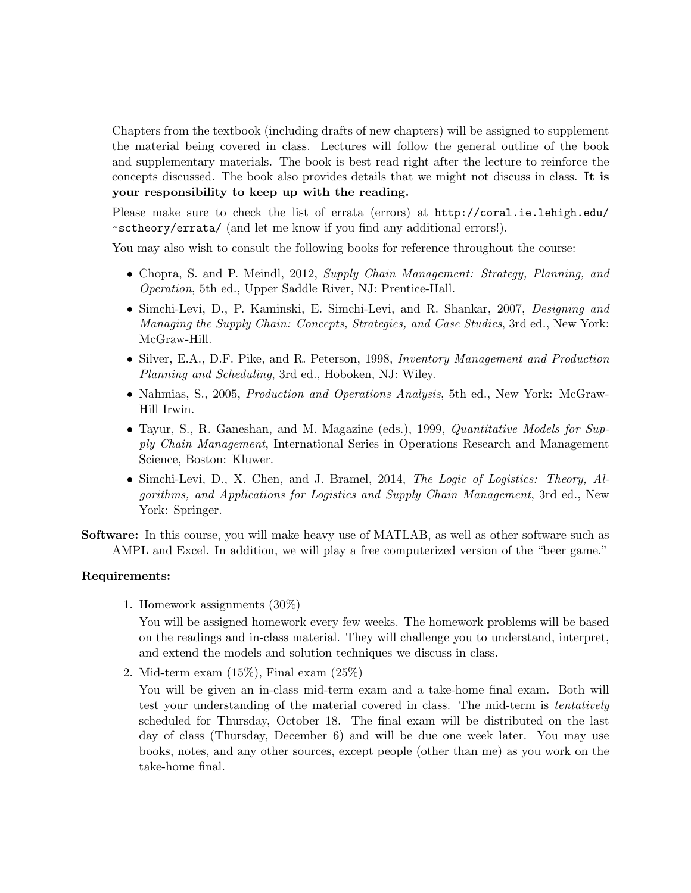Chapters from the textbook (including drafts of new chapters) will be assigned to supplement the material being covered in class. Lectures will follow the general outline of the book and supplementary materials. The book is best read right after the lecture to reinforce the concepts discussed. The book also provides details that we might not discuss in class. It is your responsibility to keep up with the reading.

Please make sure to check the list of errata (errors) at http://coral.ie.lehigh.edu/ ~sctheory/errata/ (and let me know if you find any additional errors!).

You may also wish to consult the following books for reference throughout the course:

- Chopra, S. and P. Meindl, 2012, Supply Chain Management: Strategy, Planning, and Operation, 5th ed., Upper Saddle River, NJ: Prentice-Hall.
- Simchi-Levi, D., P. Kaminski, E. Simchi-Levi, and R. Shankar, 2007, Designing and Managing the Supply Chain: Concepts, Strategies, and Case Studies, 3rd ed., New York: McGraw-Hill.
- Silver, E.A., D.F. Pike, and R. Peterson, 1998, Inventory Management and Production Planning and Scheduling, 3rd ed., Hoboken, NJ: Wiley.
- Nahmias, S., 2005, *Production and Operations Analysis*, 5th ed., New York: McGraw-Hill Irwin.
- Tayur, S., R. Ganeshan, and M. Magazine (eds.), 1999, *Quantitative Models for Sup*ply Chain Management, International Series in Operations Research and Management Science, Boston: Kluwer.
- Simchi-Levi, D., X. Chen, and J. Bramel, 2014, The Logic of Logistics: Theory, Algorithms, and Applications for Logistics and Supply Chain Management, 3rd ed., New York: Springer.

Software: In this course, you will make heavy use of MATLAB, as well as other software such as AMPL and Excel. In addition, we will play a free computerized version of the "beer game."

## Requirements:

1. Homework assignments (30%)

You will be assigned homework every few weeks. The homework problems will be based on the readings and in-class material. They will challenge you to understand, interpret, and extend the models and solution techniques we discuss in class.

2. Mid-term exam (15%), Final exam (25%)

You will be given an in-class mid-term exam and a take-home final exam. Both will test your understanding of the material covered in class. The mid-term is tentatively scheduled for Thursday, October 18. The final exam will be distributed on the last day of class (Thursday, December 6) and will be due one week later. You may use books, notes, and any other sources, except people (other than me) as you work on the take-home final.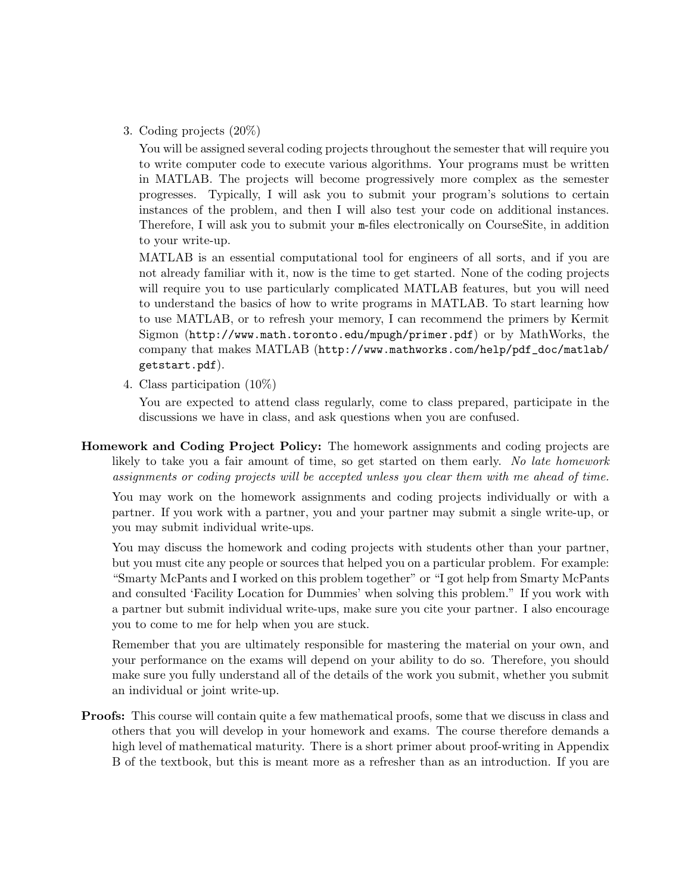3. Coding projects (20%)

You will be assigned several coding projects throughout the semester that will require you to write computer code to execute various algorithms. Your programs must be written in MATLAB. The projects will become progressively more complex as the semester progresses. Typically, I will ask you to submit your program's solutions to certain instances of the problem, and then I will also test your code on additional instances. Therefore, I will ask you to submit your m-files electronically on CourseSite, in addition to your write-up.

MATLAB is an essential computational tool for engineers of all sorts, and if you are not already familiar with it, now is the time to get started. None of the coding projects will require you to use particularly complicated MATLAB features, but you will need to understand the basics of how to write programs in MATLAB. To start learning how to use MATLAB, or to refresh your memory, I can recommend the primers by Kermit Sigmon (http://www.math.toronto.edu/mpugh/primer.pdf) or by MathWorks, the company that makes MATLAB (http://www.mathworks.com/help/pdf\_doc/matlab/ getstart.pdf).

4. Class participation (10%)

You are expected to attend class regularly, come to class prepared, participate in the discussions we have in class, and ask questions when you are confused.

Homework and Coding Project Policy: The homework assignments and coding projects are likely to take you a fair amount of time, so get started on them early. No late homework assignments or coding projects will be accepted unless you clear them with me ahead of time.

You may work on the homework assignments and coding projects individually or with a partner. If you work with a partner, you and your partner may submit a single write-up, or you may submit individual write-ups.

You may discuss the homework and coding projects with students other than your partner, but you must cite any people or sources that helped you on a particular problem. For example: "Smarty McPants and I worked on this problem together" or "I got help from Smarty McPants and consulted 'Facility Location for Dummies' when solving this problem." If you work with a partner but submit individual write-ups, make sure you cite your partner. I also encourage you to come to me for help when you are stuck.

Remember that you are ultimately responsible for mastering the material on your own, and your performance on the exams will depend on your ability to do so. Therefore, you should make sure you fully understand all of the details of the work you submit, whether you submit an individual or joint write-up.

Proofs: This course will contain quite a few mathematical proofs, some that we discuss in class and others that you will develop in your homework and exams. The course therefore demands a high level of mathematical maturity. There is a short primer about proof-writing in Appendix B of the textbook, but this is meant more as a refresher than as an introduction. If you are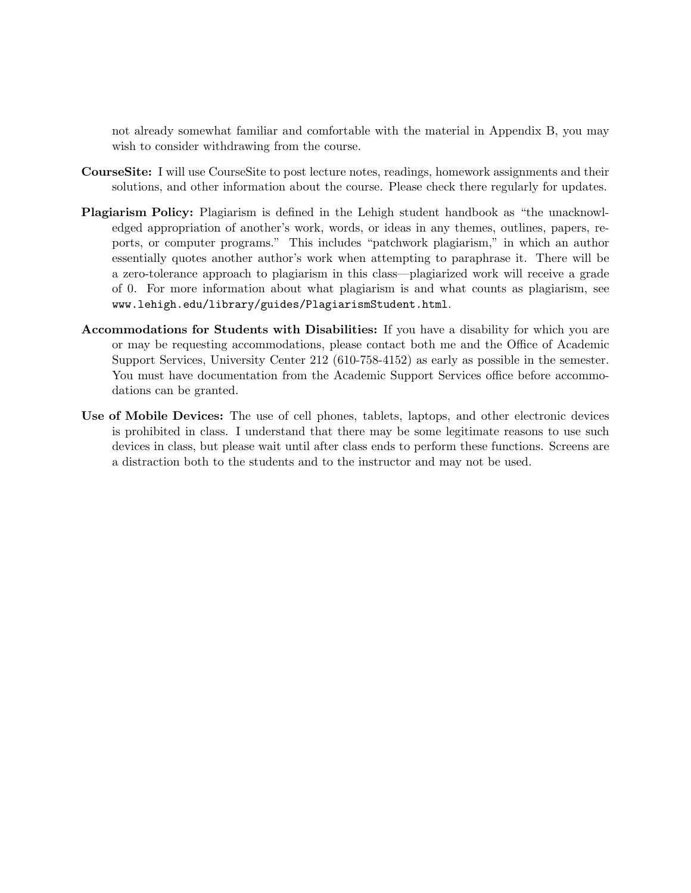not already somewhat familiar and comfortable with the material in Appendix B, you may wish to consider withdrawing from the course.

- CourseSite: I will use CourseSite to post lecture notes, readings, homework assignments and their solutions, and other information about the course. Please check there regularly for updates.
- Plagiarism Policy: Plagiarism is defined in the Lehigh student handbook as "the unacknowledged appropriation of another's work, words, or ideas in any themes, outlines, papers, reports, or computer programs." This includes "patchwork plagiarism," in which an author essentially quotes another author's work when attempting to paraphrase it. There will be a zero-tolerance approach to plagiarism in this class—plagiarized work will receive a grade of 0. For more information about what plagiarism is and what counts as plagiarism, see www.lehigh.edu/library/guides/PlagiarismStudent.html.
- Accommodations for Students with Disabilities: If you have a disability for which you are or may be requesting accommodations, please contact both me and the Office of Academic Support Services, University Center 212 (610-758-4152) as early as possible in the semester. You must have documentation from the Academic Support Services office before accommodations can be granted.
- Use of Mobile Devices: The use of cell phones, tablets, laptops, and other electronic devices is prohibited in class. I understand that there may be some legitimate reasons to use such devices in class, but please wait until after class ends to perform these functions. Screens are a distraction both to the students and to the instructor and may not be used.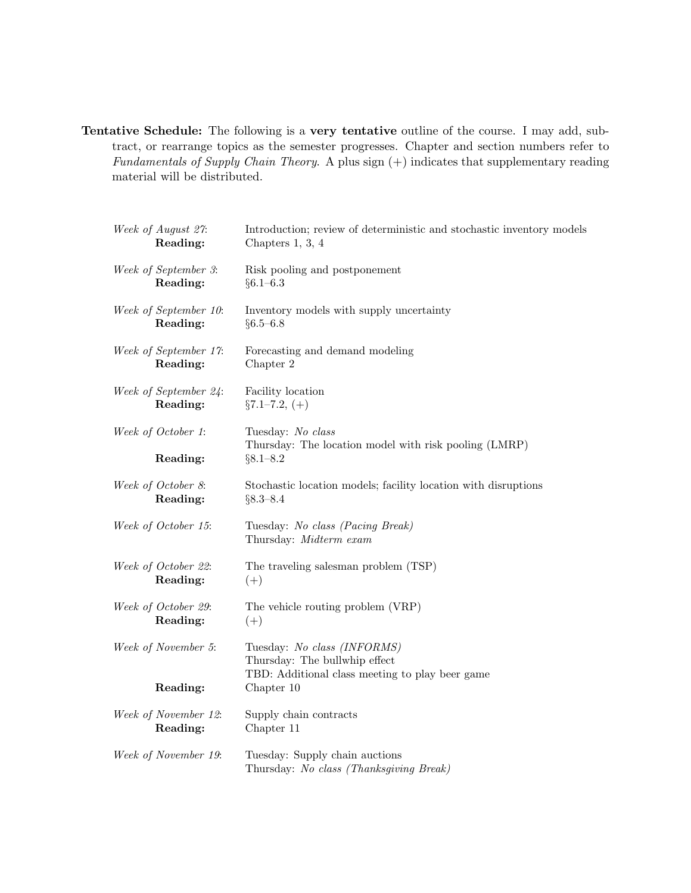Tentative Schedule: The following is a very tentative outline of the course. I may add, subtract, or rearrange topics as the semester progresses. Chapter and section numbers refer to Fundamentals of Supply Chain Theory. A plus sign  $(+)$  indicates that supplementary reading material will be distributed.

| Week of August 27:             | Introduction; review of deterministic and stochastic inventory models                                           |  |
|--------------------------------|-----------------------------------------------------------------------------------------------------------------|--|
| Reading:                       | Chapters 1, 3, 4                                                                                                |  |
| Week of September 3:           | Risk pooling and postponement                                                                                   |  |
| Reading:                       | $§6.1 - 6.3$                                                                                                    |  |
| Week of September 10:          | Inventory models with supply uncertainty                                                                        |  |
| Reading:                       | $§6.5 - 6.8$                                                                                                    |  |
| Week of September 17:          | Forecasting and demand modeling                                                                                 |  |
| Reading:                       | Chapter 2                                                                                                       |  |
| Week of September 24:          | Facility location                                                                                               |  |
| Reading:                       | $\S 7.1 - 7.2, (+)$                                                                                             |  |
| Week of October 1:<br>Reading: | Tuesday: No class<br>Thursday: The location model with risk pooling (LMRP)<br>$§8.1 - 8.2$                      |  |
| Week of October 8:             | Stochastic location models; facility location with disruptions                                                  |  |
| Reading:                       | $§8.3 - 8.4$                                                                                                    |  |
| Week of October 15:            | Tuesday: No class (Pacing Break)<br>Thursday: Midterm exam                                                      |  |
| Week of October 22:            | The traveling salesman problem (TSP)                                                                            |  |
| Reading:                       | $(+)$                                                                                                           |  |
| Week of October 29:            | The vehicle routing problem (VRP)                                                                               |  |
| Reading:                       | $(+)$                                                                                                           |  |
| Week of November 5:            | Tuesday: No class (INFORMS)<br>Thursday: The bullwhip effect<br>TBD: Additional class meeting to play beer game |  |
| Reading:                       | Chapter 10                                                                                                      |  |
| Week of November 12:           | Supply chain contracts                                                                                          |  |
| Reading:                       | Chapter 11                                                                                                      |  |
| Week of November 19:           | Tuesday: Supply chain auctions<br>Thursday: No class (Thanksgiving Break)                                       |  |